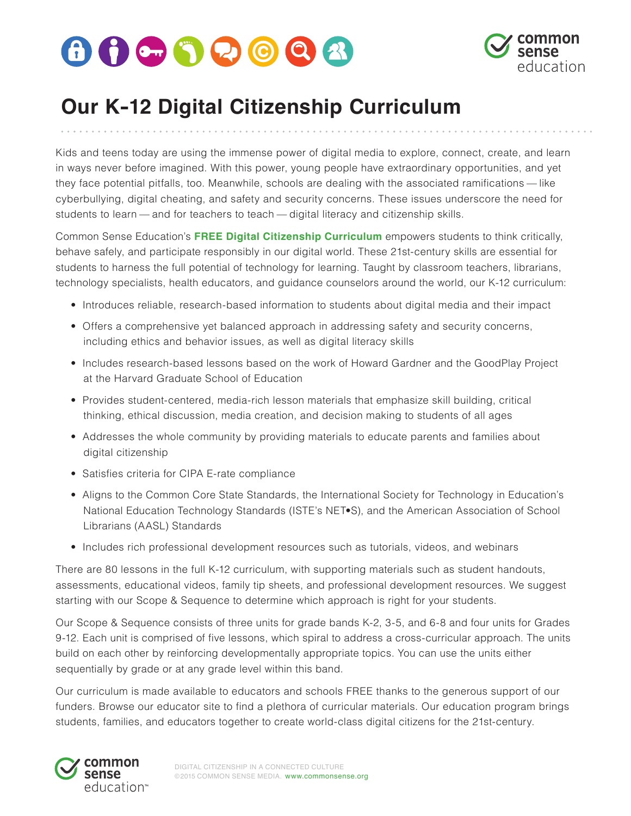



## **Our K-12 Digital Citizenship Curriculum**

Kids and teens today are using the immense power of digital media to explore, connect, create, and learn in ways never before imagined. With this power, young people have extraordinary opportunities, and yet they face potential pitfalls, too. Meanwhile, schools are dealing with the associated ramifications — like cyberbullying, digital cheating, and safety and security concerns. These issues underscore the need for students to learn — and for teachers to teach — digital literacy and citizenship skills.

Common Sense Education's **FREE Digital Citizenship Curriculum** empowers students to think critically, behave safely, and participate responsibly in our digital world. These 21st-century skills are essential for students to harness the full potential of technology for learning. Taught by classroom teachers, librarians, technology specialists, health educators, and guidance counselors around the world, our K-12 curriculum:

- Introduces reliable, research-based information to students about digital media and their impact
- Offers a comprehensive yet balanced approach in addressing safety and security concerns, including ethics and behavior issues, as well as digital literacy skills
- Includes research-based lessons based on the work of Howard Gardner and the GoodPlay Project at the Harvard Graduate School of Education
- Provides student-centered, media-rich lesson materials that emphasize skill building, critical thinking, ethical discussion, media creation, and decision making to students of all ages
- Addresses the whole community by providing materials to educate parents and families about digital citizenship
- Satisfies criteria for CIPA E-rate compliance
- Aligns to the Common Core State Standards, the International Society for Technology in Education's National Education Technology Standards (ISTE's NET•S), and the American Association of School Librarians (AASL) Standards
- Includes rich professional development resources such as tutorials, videos, and webinars

There are 80 lessons in the full K-12 curriculum, with supporting materials such as student handouts, assessments, educational videos, family tip sheets, and professional development resources. We suggest starting with our Scope & Sequence to determine which approach is right for your students.

Our Scope & Sequence consists of three units for grade bands K-2, 3-5, and 6-8 and four units for Grades 9-12. Each unit is comprised of five lessons, which spiral to address a cross-curricular approach. The units build on each other by reinforcing developmentally appropriate topics. You can use the units either sequentially by grade or at any grade level within this band.

Our curriculum is made available to educators and schools FREE thanks to the generous support of our funders. Browse our educator site to find a plethora of curricular materials. Our education program brings students, families, and educators together to create world-class digital citizens for the 21st-century.

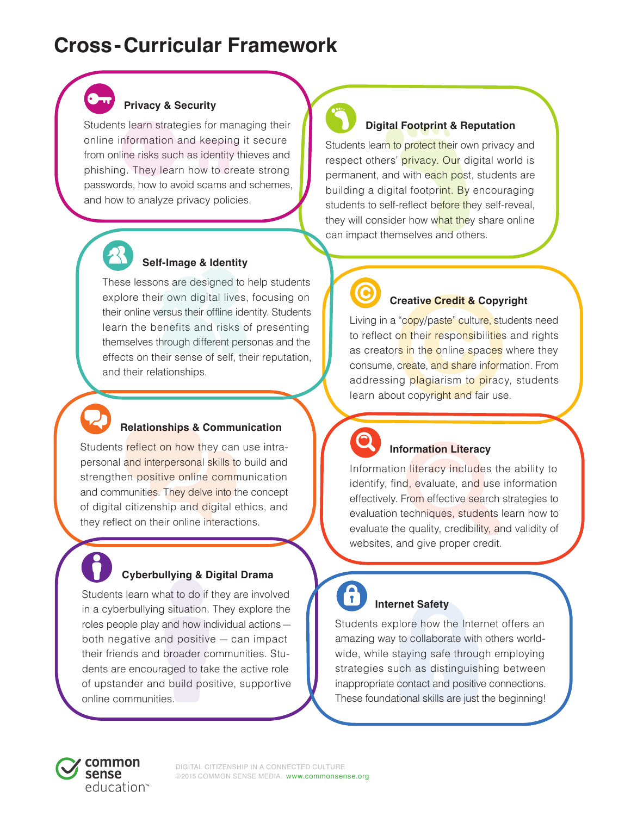## **Cross-Curricular Framework**

#### **Privacy & Security**

Students learn strategies for managing their online information and keeping it secure from online risks such as identity thieves and phishing. They learn how to create strong passwords, how to avoid scams and schemes, and how to analyze privacy policies.



#### **Self-Image & Identity**

These lessons are designed to help students explore their own digital lives, focusing on their online versus their offline identity. Students learn the benefits and risks of presenting themselves through different personas and the effects on their sense of self, their reputation, and their relationships.

#### **Relationships & Communication**

Students reflect on how they can use intrapersonal and interpersonal skills to build and strengthen positive online communication and communities. They delve into the concept of digital citizenship and digital ethics, and they reflect on their online interactions.

#### **Cyberbullying & Digital Drama**

Students learn what to do if they are involved in a cyberbullying situation. They explore the roles people play and how individual actions both negative and positive — can impact their friends and broader communities. Students are encouraged to take the active role of upstander and build positive, supportive online communities.

#### **Digital Footprint & Reputation**

Students learn to protect their own privacy and respect others' **privacy. Our** digital world is permanent, and with each post, students are building a digital footprint. By encouraging students to self-reflect before they self-reveal, they will consider how what they share online can impact themselves and others.

#### **Creative Credit & Copyright**

Living in a "copy/paste" culture, students need to reflect on their responsibilities and rights as creators in the online spaces where they consume, create, and share information. From addressing plagiarism to piracy, students learn about copyright and fair use.

### **Information Literacy**

Information literacy includes the ability to identify, find, evaluate, and use information effectively. From effective search strategies to evaluation techniques, students learn how to evaluate the quality, credibility, and validity of websites, and give proper credit.

## **Internet Safety**

6

Students explore how the Internet offers an amazing way to collaborate with others worldwide, while staying safe through employing strategies such as distinguishing between inappropriate contact and positive connections. These foundational skills are just the beginning!



DIGITAL CITIZENSHIP IN A CONNECTED CULTURE ©2015 COMMON SENSE MEDIA. [www.commonsense.org](http://www.commonsense.org)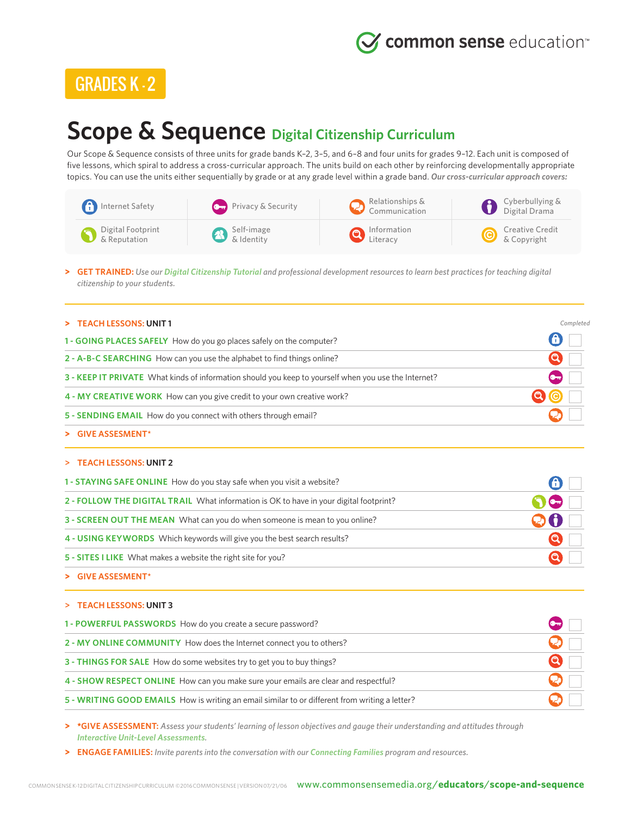## GRADES K - 2

# **Scope & Sequence [Digital Citizenship Curriculum](https://www.commonsensemedia.org/educators/scope-and-sequence)**

Our Scope & Sequence consists of three units for grade bands K–2, 3–5, and 6–8 and four units for grades 9–12. Each unit is composed of five lessons, which spiral to address a cross-curricular approach. The units build on each other by reinforcing developmentally appropriate topics. You can use the units either sequentially by grade or at any grade level within a grade band. *Our cross-curricular approach covers:*

| nternet Safety                    | <b>Cap</b> Privacy & Security | Relationships &      | Cyberbullying &          |
|-----------------------------------|-------------------------------|----------------------|--------------------------|
| Digital Footprint<br>& Reputation | Self-image                    | <b>O</b> Information | <b>O</b> Creative Credit |

> **GET TRAINED:** *Use our Digital Citizenship Tutorial and professional development resources to learn best practices for teaching digital citizenship to your students.*

| <b>TEACH LESSONS: UNIT1</b>                                                                          | Completed |
|------------------------------------------------------------------------------------------------------|-----------|
| 1 - GOING PLACES SAFELY How do you go places safely on the computer?                                 | ĥ         |
| 2 - A-B-C SEARCHING How can you use the alphabet to find things online?                              | Ό         |
| 3 - KEEP IT PRIVATE What kinds of information should you keep to yourself when you use the Internet? |           |
| 4 - MY CREATIVE WORK How can you give credit to your own creative work?                              |           |
| 5 - SENDING EMAIL How do you connect with others through email?                                      |           |
| <b>GIVE ASSESMENT*</b>                                                                               |           |
| <b>TEACH LESSONS: UNIT 2</b>                                                                         |           |
| 1 - STAYING SAFE ONLINE How do you stay safe when you visit a website?                               |           |
| 2 - FOLLOW THE DIGITAL TRAIL What information is OK to have in your digital footprint?               |           |
| 3 - SCREEN OUT THE MEAN What can you do when someone is mean to you online?                          |           |
| 4 - USING KEYWORDS Which keywords will give you the best search results?                             |           |
| 5 - SITES I LIKE What makes a website the right site for you?                                        |           |
| <b>GIVE ASSESMENT*</b>                                                                               |           |
| <b>TEACH LESSONS: UNIT 3</b>                                                                         |           |
| 1 - POWERFUL PASSWORDS How do you create a secure password?                                          |           |
| 2 - MY ONLINE COMMUNITY How does the Internet connect you to others?                                 |           |
| 3 - THINGS FOR SALE How do some websites try to get you to buy things?                               | Q         |
| 4 - SHOW RESPECT ONLINE How can you make sure your emails are clear and respectful?                  |           |
| 5 - WRITING GOOD EMAILS How is writing an email similar to or different from writing a letter?       |           |

- > \***GIVE ASSESSMENT:** *Assess your students' learning of lesson objectives and gauge their understanding and attitudes through Interactive Unit-Level Assessments.*
- > **ENGAGE FAMILIES:** *Invite parents into the conversation with our Connecting Families program and resources.*